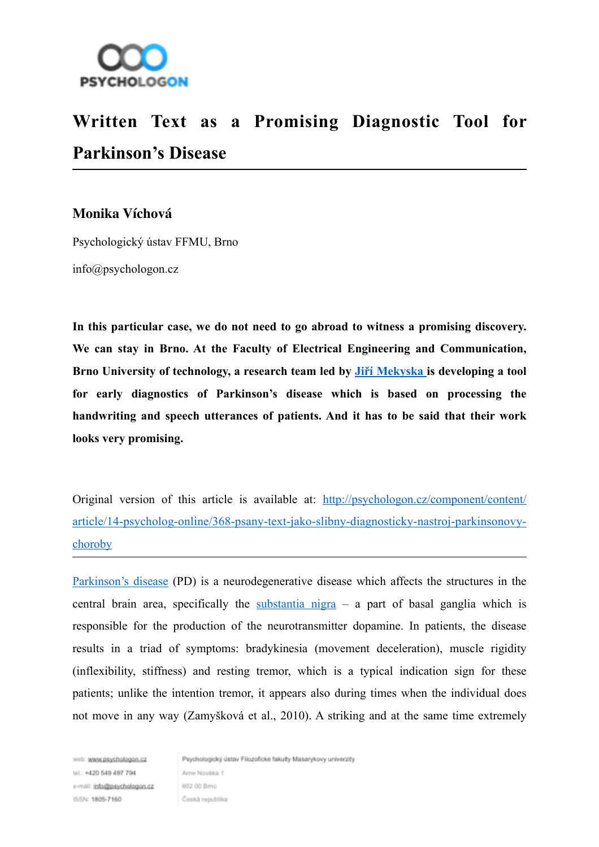

## **Written Text as a Promising Diagnostic Tool for Parkinson's Disease**

## **Monika Víchová**

Psychologický ústav FFMU, Brno

info@psychologon.cz

**In this particular case, we do not need to go abroad to witness a promising discovery. We can stay in Brno. At the Faculty of Electrical Engineering and Communication, Brno University of technology, a research team led by Jiř[í Mekyska](http://www.vutbr.cz/lide/jiri-mekyska-78578/publikace) is developing a tool for early diagnostics of Parkinson's disease which is based on processing the handwriting and speech utterances of patients. And it has to be said that their work looks very promising.**

Original version of this article is available at: http://psychologon.cz/component/content/ [article/14-psycholog-online/368-psany-text-jako-slibny-diagnosticky-nastroj-parkinsonovy](http://psychologon.cz/component/content/article/14-psycholog-online/368-psany-text-jako-slibny-diagnosticky-nastroj-parkinsonovy-choroby)choroby

[Parkinson's disease](http://en.wikipedia.org/wiki/Parkinson's_disease) (PD) is a neurodegenerative disease which affects the structures in the central brain area, specifically the [substantia nigra](http://en.wikipedia.org/wiki/Substantia_nigra)  $-$  a part of basal ganglia which is responsible for the production of the neurotransmitter dopamine. In patients, the disease results in a triad of symptoms: bradykinesia (movement deceleration), muscle rigidity (inflexibility, stiffness) and resting tremor, which is a typical indication sign for these patients; unlike the intention tremor, it appears also during times when the individual does not move in any way (Zamyšková et al., 2010). A striking and at the same time extremely

web: www.psychologon.cz tel : +420 549 497 794 e-mail: info@psychologon.cz ISSN: 1805-7160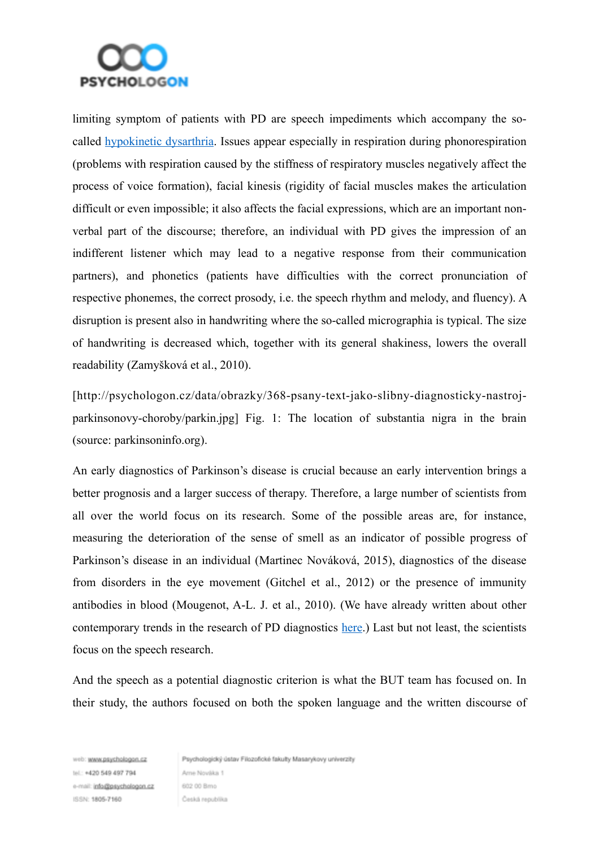

limiting symptom of patients with PD are speech impediments which accompany the socalled [hypokinetic dysarthria](http://www2.muw.edu/~mharmon/501ch8stg.html). Issues appear especially in respiration during phonorespiration (problems with respiration caused by the stiffness of respiratory muscles negatively affect the process of voice formation), facial kinesis (rigidity of facial muscles makes the articulation difficult or even impossible; it also affects the facial expressions, which are an important nonverbal part of the discourse; therefore, an individual with PD gives the impression of an indifferent listener which may lead to a negative response from their communication partners), and phonetics (patients have difficulties with the correct pronunciation of respective phonemes, the correct prosody, i.e. the speech rhythm and melody, and fluency). A disruption is present also in handwriting where the so-called micrographia is typical. The size of handwriting is decreased which, together with its general shakiness, lowers the overall readability (Zamyšková et al., 2010).

[http://psychologon.cz/data/obrazky/368-psany-text-jako-slibny-diagnosticky-nastrojparkinsonovy-choroby/parkin.jpg] Fig. 1: The location of substantia nigra in the brain (source: parkinsoninfo.org).

An early diagnostics of Parkinson's disease is crucial because an early intervention brings a better prognosis and a larger success of therapy. Therefore, a large number of scientists from all over the world focus on its research. Some of the possible areas are, for instance, measuring the deterioration of the sense of smell as an indicator of possible progress of Parkinson's disease in an individual (Martinec Nováková, 2015), diagnostics of the disease from disorders in the eye movement (Gitchel et al., 2012) or the presence of immunity antibodies in blood (Mougenot, A-L. J. et al., 2010). (We have already written about other contemporary trends in the research of PD diagnostics [here.](http://psychologon.cz/component/content/article/14-psycholog-online/16-moznosti-diagnostiky-parkinsonovy-nemoci)) Last but not least, the scientists focus on the speech research.

And the speech as a potential diagnostic criterion is what the BUT team has focused on. In their study, the authors focused on both the spoken language and the written discourse of

web: www.psychologon.cz tel : +420 549 497 794 e-mail: info@psychologon.cz ISSN: 1805-7160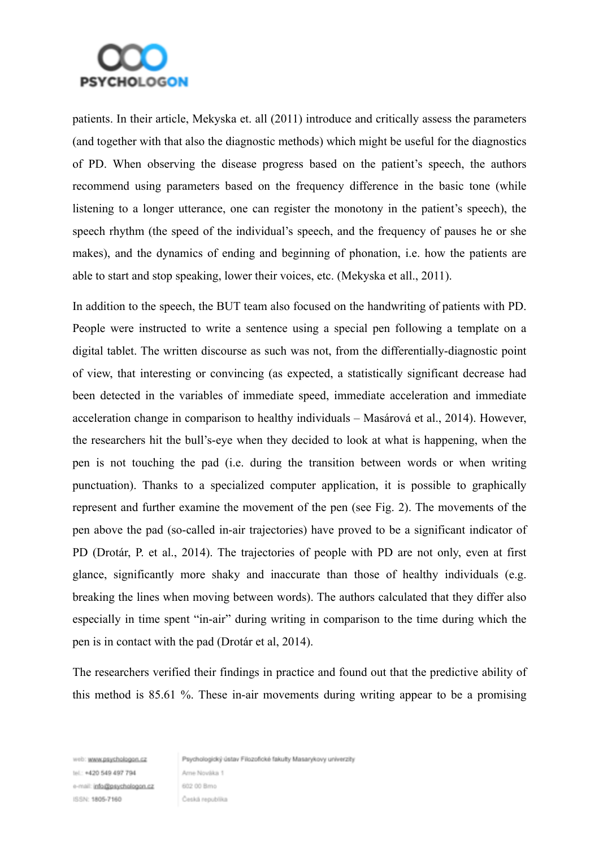

patients. In their article, Mekyska et. all (2011) introduce and critically assess the parameters (and together with that also the diagnostic methods) which might be useful for the diagnostics of PD. When observing the disease progress based on the patient's speech, the authors recommend using parameters based on the frequency difference in the basic tone (while listening to a longer utterance, one can register the monotony in the patient's speech), the speech rhythm (the speed of the individual's speech, and the frequency of pauses he or she makes), and the dynamics of ending and beginning of phonation, i.e. how the patients are able to start and stop speaking, lower their voices, etc. (Mekyska et all., 2011).

In addition to the speech, the BUT team also focused on the handwriting of patients with PD. People were instructed to write a sentence using a special pen following a template on a digital tablet. The written discourse as such was not, from the differentially-diagnostic point of view, that interesting or convincing (as expected, a statistically significant decrease had been detected in the variables of immediate speed, immediate acceleration and immediate acceleration change in comparison to healthy individuals – Masárová et al., 2014). However, the researchers hit the bull's-eye when they decided to look at what is happening, when the pen is not touching the pad (i.e. during the transition between words or when writing punctuation). Thanks to a specialized computer application, it is possible to graphically represent and further examine the movement of the pen (see Fig. 2). The movements of the pen above the pad (so-called in-air trajectories) have proved to be a significant indicator of PD (Drotár, P. et al., 2014). The trajectories of people with PD are not only, even at first glance, significantly more shaky and inaccurate than those of healthy individuals (e.g. breaking the lines when moving between words). The authors calculated that they differ also especially in time spent "in-air" during writing in comparison to the time during which the pen is in contact with the pad (Drotár et al, 2014).

The researchers verified their findings in practice and found out that the predictive ability of this method is 85.61 %. These in-air movements during writing appear to be a promising

web: www.psychologon.cz tel : +420 549 497 794 e-mail: info@psychologon.cz ISSN: 1805-7160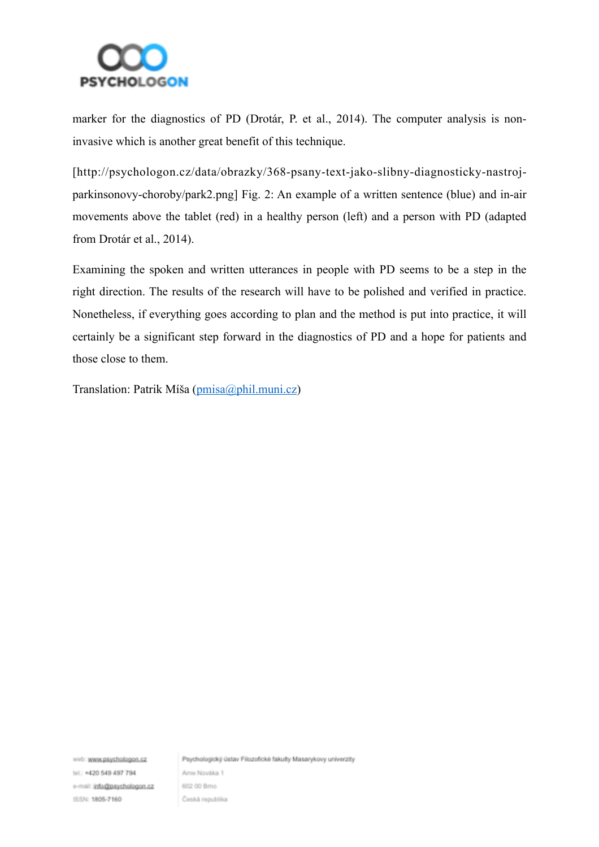

marker for the diagnostics of PD (Drotár, P. et al., 2014). The computer analysis is noninvasive which is another great benefit of this technique.

[http://psychologon.cz/data/obrazky/368-psany-text-jako-slibny-diagnosticky-nastrojparkinsonovy-choroby/park2.png] Fig. 2: An example of a written sentence (blue) and in-air movements above the tablet (red) in a healthy person (left) and a person with PD (adapted from Drotár et al., 2014).

Examining the spoken and written utterances in people with PD seems to be a step in the right direction. The results of the research will have to be polished and verified in practice. Nonetheless, if everything goes according to plan and the method is put into practice, it will certainly be a significant step forward in the diagnostics of PD and a hope for patients and those close to them.

Translation: Patrik Míša [\(pmisa@phil.muni.cz\)](mailto:pmisa@phil.muni.cz)

web: www.psychologon.cz tel : +420 549 497 794 e-mail: info@psychologon.cz ISSN: 1805-7160

Psychologický ústav Filozofické fakulty Masarykovy univerzity

Ame Nováka 1 602.00 Bmo Česká republika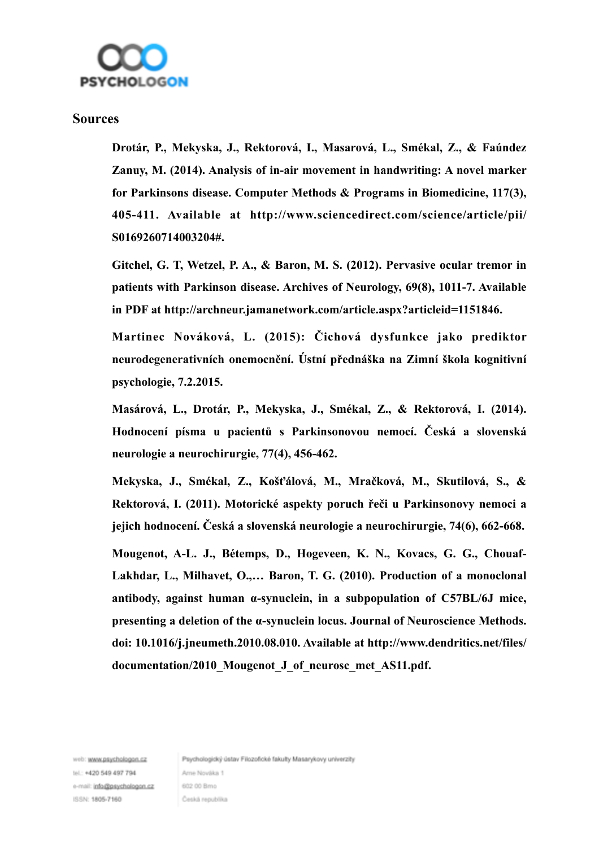

## **Sources**

**Drotár, P., Mekyska, J., Rektorová, I., Masarová, L., Smékal, Z., & Faúndez Zanuy, M. (2014). Analysis of in-air movement in handwriting: A novel marker for Parkinsons disease. Computer Methods & Programs in Biomedicine, 117(3), 405-411. Available at http://www.sciencedirect.com/science/article/pii/ S0169260714003204#.**

**Gitchel, G. T, Wetzel, P. A., & Baron, M. S. (2012). Pervasive ocular tremor in patients with Parkinson disease. Archives of Neurology, 69(8), 1011-7. Available in PDF at http://archneur.jamanetwork.com/article.aspx?articleid=1151846.**

**Martinec Nováková, L. (2015): Čichová dysfunkce jako prediktor neurodegenerativních onemocnění. Ústní přednáška na Zimní škola kognitivní psychologie, 7.2.2015.**

**Masárová, L., Drotár, P., Mekyska, J., Smékal, Z., & Rektorová, I. (2014). Hodnocení písma u pacientů s Parkinsonovou nemocí. Česká a slovenská neurologie a neurochirurgie, 77(4), 456-462.**

**Mekyska, J., Smékal, Z., Košťálová, M., Mračková, M., Skutilová, S., & Rektorová, I. (2011). Motorické aspekty poruch řeči u Parkinsonovy nemoci a jejich hodnocení. Česká a slovenská neurologie a neurochirurgie, 74(6), 662-668.**

**Mougenot, A-L. J., Bétemps, D., Hogeveen, K. N., Kovacs, G. G., Chouaf-Lakhdar, L., Milhavet, O.,… Baron, T. G. (2010). Production of a monoclonal antibody, against human α-synuclein, in a subpopulation of C57BL/6J mice, presenting a deletion of the α-synuclein locus. Journal of Neuroscience Methods. doi: 10.1016/j.jneumeth.2010.08.010. Available at http://www.dendritics.net/files/ documentation/2010\_Mougenot\_J\_of\_neurosc\_met\_AS11.pdf.**

web: www.psychologon.cz tel : +420 549 497 794 e-mail: info@psychologon.cz ISSN: 1805-7160